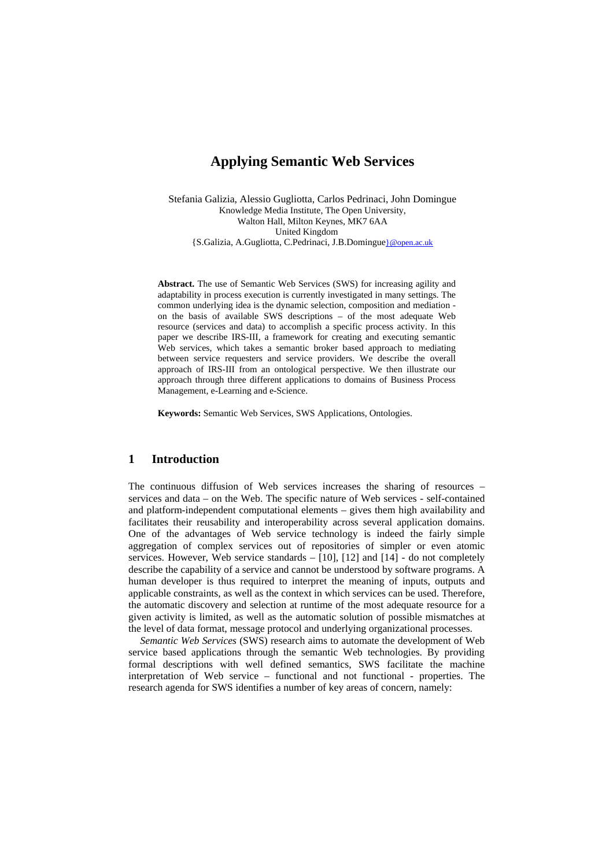# **Applying Semantic Web Services**

Stefania Galizia, Alessio Gugliotta, Carlos Pedrinaci, John Domingue Knowledge Media Institute, The Open University, Walton Hall, Milton Keynes, MK7 6AA United Kingdom {S.Galizia, A.Gugliotta, C.Pedrinaci, J.B.Domingue}@open.ac.uk

**Abstract.** The use of Semantic Web Services (SWS) for increasing agility and adaptability in process execution is currently investigated in many settings. The common underlying idea is the dynamic selection, composition and mediation on the basis of available SWS descriptions – of the most adequate Web resource (services and data) to accomplish a specific process activity. In this paper we describe IRS-III, a framework for creating and executing semantic Web services, which takes a semantic broker based approach to mediating between service requesters and service providers. We describe the overall approach of IRS-III from an ontological perspective. We then illustrate our approach through three different applications to domains of Business Process Management, e-Learning and e-Science.

**Keywords:** Semantic Web Services, SWS Applications, Ontologies.

### **1 Introduction**

The continuous diffusion of Web services increases the sharing of resources – services and data – on the Web. The specific nature of Web services - self-contained and platform-independent computational elements – gives them high availability and facilitates their reusability and interoperability across several application domains. One of the advantages of Web service technology is indeed the fairly simple aggregation of complex services out of repositories of simpler or even atomic services. However, Web service standards – [10], [12] and [14] - do not completely describe the capability of a service and cannot be understood by software programs. A human developer is thus required to interpret the meaning of inputs, outputs and applicable constraints, as well as the context in which services can be used. Therefore, the automatic discovery and selection at runtime of the most adequate resource for a given activity is limited, as well as the automatic solution of possible mismatches at the level of data format, message protocol and underlying organizational processes.

*Semantic Web Services* (SWS) research aims to automate the development of Web service based applications through the semantic Web technologies. By providing formal descriptions with well defined semantics, SWS facilitate the machine interpretation of Web service – functional and not functional - properties. The research agenda for SWS identifies a number of key areas of concern, namely: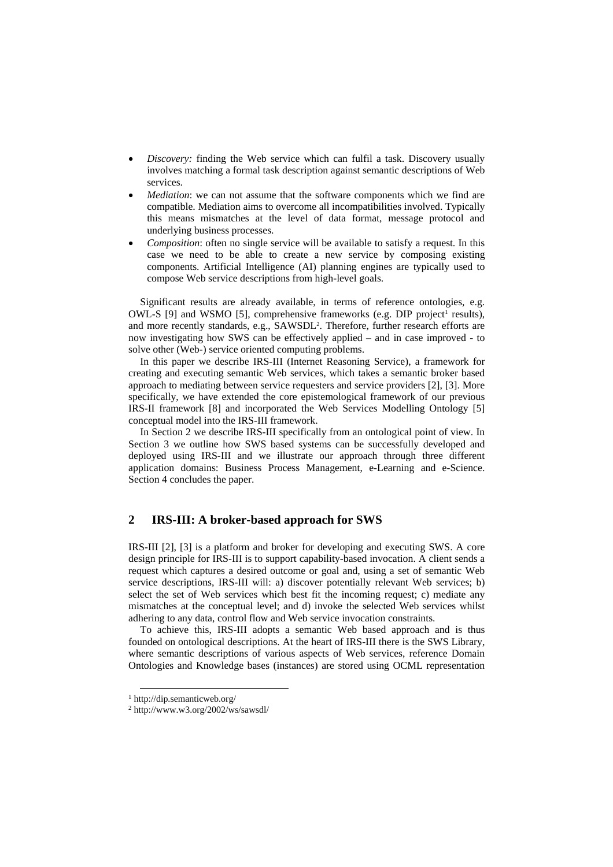- *Discovery:* finding the Web service which can fulfil a task. Discovery usually involves matching a formal task description against semantic descriptions of Web services.
- *Mediation*: we can not assume that the software components which we find are compatible. Mediation aims to overcome all incompatibilities involved. Typically this means mismatches at the level of data format, message protocol and underlying business processes.
- *Composition*: often no single service will be available to satisfy a request. In this case we need to be able to create a new service by composing existing components. Artificial Intelligence (AI) planning engines are typically used to compose Web service descriptions from high-level goals.

Significant results are already available, in terms of reference ontologies, e.g. OWL-S [9] and WSMO [5], comprehensive frameworks (e.g. DIP project<sup>1</sup> results), and more recently standards, e.g., SAWSDL<sup>2</sup>. Therefore, further research efforts are now investigating how SWS can be effectively applied – and in case improved - to solve other (Web-) service oriented computing problems.

In this paper we describe IRS-III (Internet Reasoning Service), a framework for creating and executing semantic Web services, which takes a semantic broker based approach to mediating between service requesters and service providers [2], [3]. More specifically, we have extended the core epistemological framework of our previous IRS-II framework [8] and incorporated the Web Services Modelling Ontology [5] conceptual model into the IRS-III framework.

In Section 2 we describe IRS-III specifically from an ontological point of view. In Section 3 we outline how SWS based systems can be successfully developed and deployed using IRS-III and we illustrate our approach through three different application domains: Business Process Management, e-Learning and e-Science. Section 4 concludes the paper.

# **2 IRS-III: A broker-based approach for SWS**

IRS-III [2], [3] is a platform and broker for developing and executing SWS. A core design principle for IRS-III is to support capability-based invocation. A client sends a request which captures a desired outcome or goal and, using a set of semantic Web service descriptions, IRS-III will: a) discover potentially relevant Web services; b) select the set of Web services which best fit the incoming request; c) mediate any mismatches at the conceptual level; and d) invoke the selected Web services whilst adhering to any data, control flow and Web service invocation constraints.

To achieve this, IRS-III adopts a semantic Web based approach and is thus founded on ontological descriptions. At the heart of IRS-III there is the SWS Library, where semantic descriptions of various aspects of Web services, reference Domain Ontologies and Knowledge bases (instances) are stored using OCML representation

 <sup>1</sup> http://dip.semanticweb.org/

<sup>2</sup> http://www.w3.org/2002/ws/sawsdl/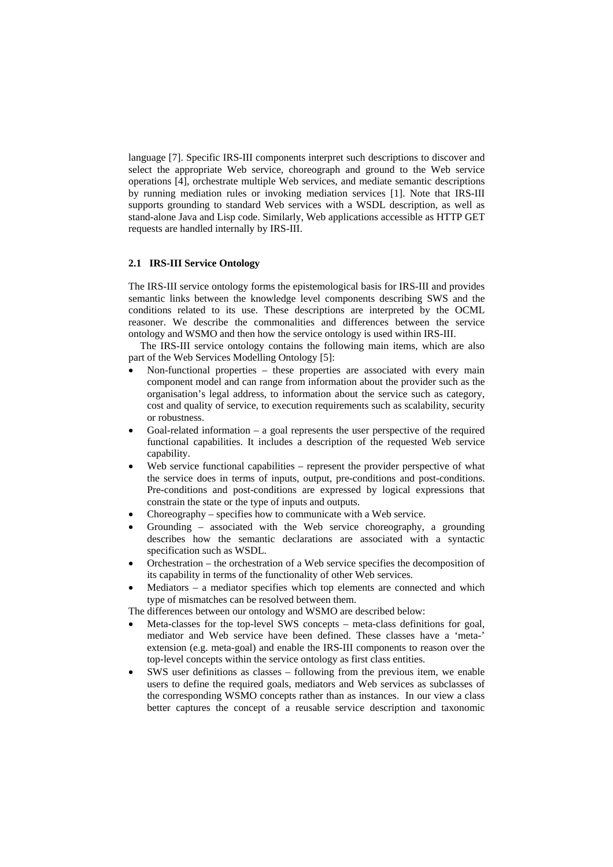language [7]. Specific IRS-III components interpret such descriptions to discover and select the appropriate Web service, choreograph and ground to the Web service operations [4], orchestrate multiple Web services, and mediate semantic descriptions by running mediation rules or invoking mediation services [1]. Note that IRS-III supports grounding to standard Web services with a WSDL description, as well as stand-alone Java and Lisp code. Similarly, Web applications accessible as HTTP GET requests are handled internally by IRS-III.

## **2.1 IRS-III Service Ontology**

The IRS-III service ontology forms the epistemological basis for IRS-III and provides semantic links between the knowledge level components describing SWS and the conditions related to its use. These descriptions are interpreted by the OCML reasoner. We describe the commonalities and differences between the service ontology and WSMO and then how the service ontology is used within IRS-III.

The IRS-III service ontology contains the following main items, which are also part of the Web Services Modelling Ontology [5]:

- Non-functional properties these properties are associated with every main component model and can range from information about the provider such as the organisation's legal address, to information about the service such as category, cost and quality of service, to execution requirements such as scalability, security or robustness.
- Goal-related information  $-$  a goal represents the user perspective of the required functional capabilities. It includes a description of the requested Web service capability.
- Web service functional capabilities represent the provider perspective of what the service does in terms of inputs, output, pre-conditions and post-conditions. Pre-conditions and post-conditions are expressed by logical expressions that constrain the state or the type of inputs and outputs.
- Choreography specifies how to communicate with a Web service.
- Grounding associated with the Web service choreography, a grounding describes how the semantic declarations are associated with a syntactic specification such as WSDL.
- Orchestration the orchestration of a Web service specifies the decomposition of its capability in terms of the functionality of other Web services.
- Mediators a mediator specifies which top elements are connected and which type of mismatches can be resolved between them.

The differences between our ontology and WSMO are described below:

- Meta-classes for the top-level SWS concepts meta-class definitions for goal, mediator and Web service have been defined. These classes have a 'meta-' extension (e.g. meta-goal) and enable the IRS-III components to reason over the top-level concepts within the service ontology as first class entities.
- SWS user definitions as classes following from the previous item, we enable users to define the required goals, mediators and Web services as subclasses of the corresponding WSMO concepts rather than as instances. In our view a class better captures the concept of a reusable service description and taxonomic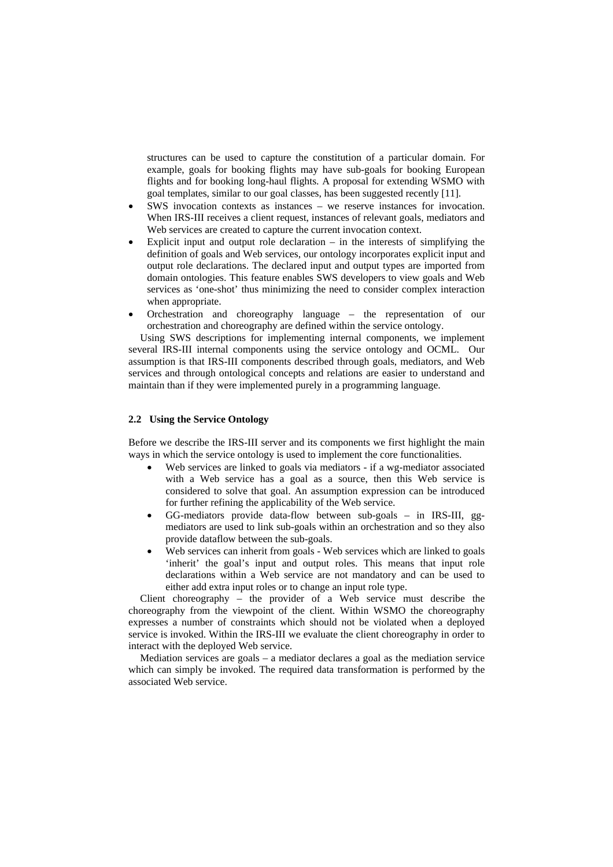structures can be used to capture the constitution of a particular domain. For example, goals for booking flights may have sub-goals for booking European flights and for booking long-haul flights. A proposal for extending WSMO with goal templates, similar to our goal classes, has been suggested recently [11].

- SWS invocation contexts as instances we reserve instances for invocation. When IRS-III receives a client request, instances of relevant goals, mediators and Web services are created to capture the current invocation context.
- Explicit input and output role declaration  $-$  in the interests of simplifying the definition of goals and Web services, our ontology incorporates explicit input and output role declarations. The declared input and output types are imported from domain ontologies. This feature enables SWS developers to view goals and Web services as 'one-shot' thus minimizing the need to consider complex interaction when appropriate.
- Orchestration and choreography language the representation of our orchestration and choreography are defined within the service ontology.

Using SWS descriptions for implementing internal components, we implement several IRS-III internal components using the service ontology and OCML. Our assumption is that IRS-III components described through goals, mediators, and Web services and through ontological concepts and relations are easier to understand and maintain than if they were implemented purely in a programming language.

#### **2.2 Using the Service Ontology**

Before we describe the IRS-III server and its components we first highlight the main ways in which the service ontology is used to implement the core functionalities.

- Web services are linked to goals via mediators if a wg-mediator associated with a Web service has a goal as a source, then this Web service is considered to solve that goal. An assumption expression can be introduced for further refining the applicability of the Web service.
- GG-mediators provide data-flow between sub-goals in IRS-III, ggmediators are used to link sub-goals within an orchestration and so they also provide dataflow between the sub-goals.
- Web services can inherit from goals Web services which are linked to goals 'inherit' the goal's input and output roles. This means that input role declarations within a Web service are not mandatory and can be used to either add extra input roles or to change an input role type.

Client choreography – the provider of a Web service must describe the choreography from the viewpoint of the client. Within WSMO the choreography expresses a number of constraints which should not be violated when a deployed service is invoked. Within the IRS-III we evaluate the client choreography in order to interact with the deployed Web service.

Mediation services are goals – a mediator declares a goal as the mediation service which can simply be invoked. The required data transformation is performed by the associated Web service.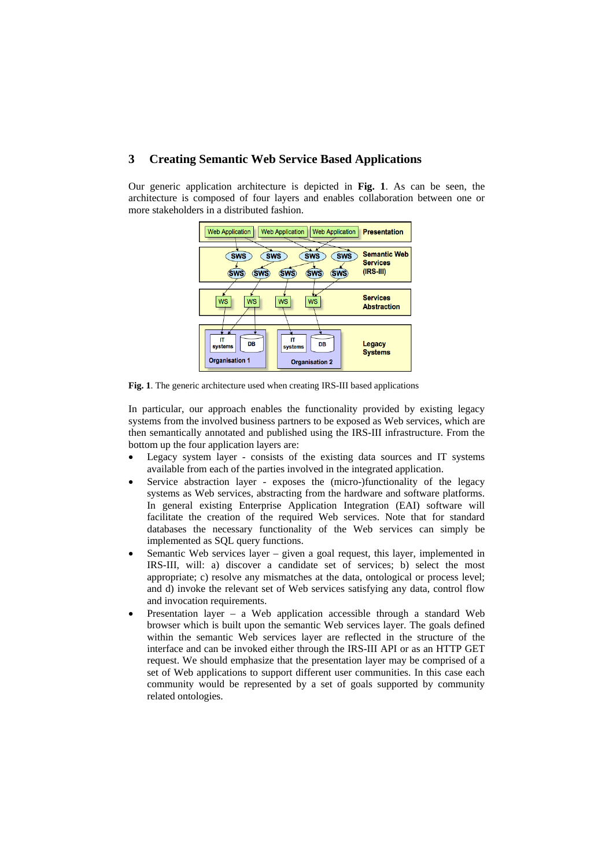# **3 Creating Semantic Web Service Based Applications**

Our generic application architecture is depicted in **Fig. 1**. As can be seen, the architecture is composed of four layers and enables collaboration between one or more stakeholders in a distributed fashion.



**Fig. 1**. The generic architecture used when creating IRS-III based applications

In particular, our approach enables the functionality provided by existing legacy systems from the involved business partners to be exposed as Web services, which are then semantically annotated and published using the IRS-III infrastructure. From the bottom up the four application layers are:

- Legacy system layer consists of the existing data sources and IT systems available from each of the parties involved in the integrated application.
- Service abstraction layer exposes the (micro-)functionality of the legacy systems as Web services, abstracting from the hardware and software platforms. In general existing Enterprise Application Integration (EAI) software will facilitate the creation of the required Web services. Note that for standard databases the necessary functionality of the Web services can simply be implemented as SQL query functions.
- Semantic Web services layer given a goal request, this layer, implemented in IRS-III, will: a) discover a candidate set of services; b) select the most appropriate; c) resolve any mismatches at the data, ontological or process level; and d) invoke the relevant set of Web services satisfying any data, control flow and invocation requirements.
- Presentation layer a Web application accessible through a standard Web browser which is built upon the semantic Web services layer. The goals defined within the semantic Web services layer are reflected in the structure of the interface and can be invoked either through the IRS-III API or as an HTTP GET request. We should emphasize that the presentation layer may be comprised of a set of Web applications to support different user communities. In this case each community would be represented by a set of goals supported by community related ontologies.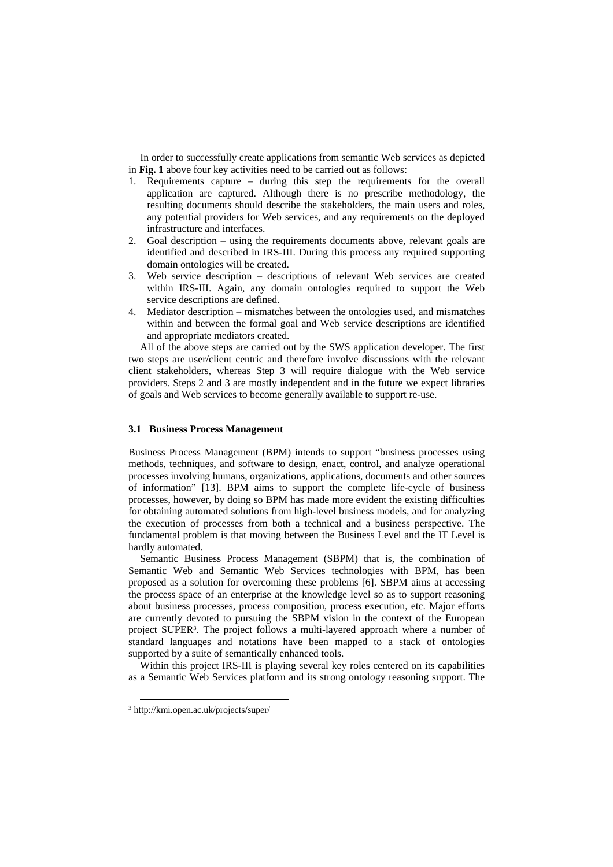In order to successfully create applications from semantic Web services as depicted in **Fig. 1** above four key activities need to be carried out as follows:

- 1. Requirements capture during this step the requirements for the overall application are captured. Although there is no prescribe methodology, the resulting documents should describe the stakeholders, the main users and roles, any potential providers for Web services, and any requirements on the deployed infrastructure and interfaces.
- 2. Goal description using the requirements documents above, relevant goals are identified and described in IRS-III. During this process any required supporting domain ontologies will be created.
- 3. Web service description descriptions of relevant Web services are created within IRS-III. Again, any domain ontologies required to support the Web service descriptions are defined.
- 4. Mediator description mismatches between the ontologies used, and mismatches within and between the formal goal and Web service descriptions are identified and appropriate mediators created.

All of the above steps are carried out by the SWS application developer. The first two steps are user/client centric and therefore involve discussions with the relevant client stakeholders, whereas Step 3 will require dialogue with the Web service providers. Steps 2 and 3 are mostly independent and in the future we expect libraries of goals and Web services to become generally available to support re-use.

#### **3.1 Business Process Management**

Business Process Management (BPM) intends to support "business processes using methods, techniques, and software to design, enact, control, and analyze operational processes involving humans, organizations, applications, documents and other sources of information" [13]. BPM aims to support the complete life-cycle of business processes, however, by doing so BPM has made more evident the existing difficulties for obtaining automated solutions from high-level business models, and for analyzing the execution of processes from both a technical and a business perspective. The fundamental problem is that moving between the Business Level and the IT Level is hardly automated.

Semantic Business Process Management (SBPM) that is, the combination of Semantic Web and Semantic Web Services technologies with BPM, has been proposed as a solution for overcoming these problems [6]. SBPM aims at accessing the process space of an enterprise at the knowledge level so as to support reasoning about business processes, process composition, process execution, etc. Major efforts are currently devoted to pursuing the SBPM vision in the context of the European project SUPER3. The project follows a multi-layered approach where a number of standard languages and notations have been mapped to a stack of ontologies supported by a suite of semantically enhanced tools.

Within this project IRS-III is playing several key roles centered on its capabilities as a Semantic Web Services platform and its strong ontology reasoning support. The

 <sup>3</sup> http://kmi.open.ac.uk/projects/super/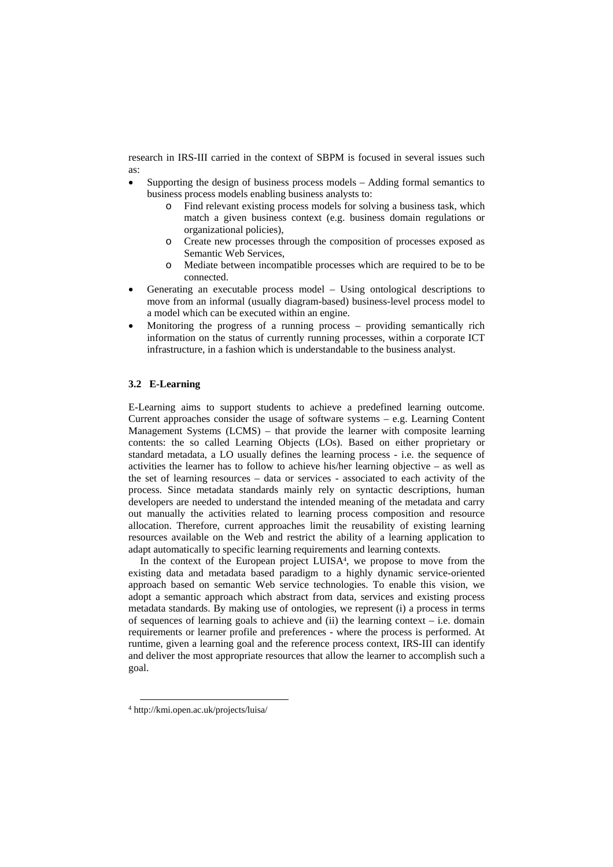research in IRS-III carried in the context of SBPM is focused in several issues such as:

- Supporting the design of business process models Adding formal semantics to business process models enabling business analysts to:
	- o Find relevant existing process models for solving a business task, which match a given business context (e.g. business domain regulations or organizational policies),
	- o Create new processes through the composition of processes exposed as Semantic Web Services,
	- o Mediate between incompatible processes which are required to be to be connected.
- Generating an executable process model Using ontological descriptions to move from an informal (usually diagram-based) business-level process model to a model which can be executed within an engine.
- Monitoring the progress of a running process providing semantically rich information on the status of currently running processes, within a corporate ICT infrastructure, in a fashion which is understandable to the business analyst.

### **3.2 E-Learning**

E-Learning aims to support students to achieve a predefined learning outcome. Current approaches consider the usage of software systems – e.g. Learning Content Management Systems (LCMS) – that provide the learner with composite learning contents: the so called Learning Objects (LOs). Based on either proprietary or standard metadata, a LO usually defines the learning process - i.e. the sequence of activities the learner has to follow to achieve his/her learning objective – as well as the set of learning resources – data or services - associated to each activity of the process. Since metadata standards mainly rely on syntactic descriptions, human developers are needed to understand the intended meaning of the metadata and carry out manually the activities related to learning process composition and resource allocation. Therefore, current approaches limit the reusability of existing learning resources available on the Web and restrict the ability of a learning application to adapt automatically to specific learning requirements and learning contexts.

In the context of the European project LUISA<sup>4</sup>, we propose to move from the existing data and metadata based paradigm to a highly dynamic service-oriented approach based on semantic Web service technologies. To enable this vision, we adopt a semantic approach which abstract from data, services and existing process metadata standards. By making use of ontologies, we represent (i) a process in terms of sequences of learning goals to achieve and (ii) the learning context – i.e. domain requirements or learner profile and preferences - where the process is performed. At runtime, given a learning goal and the reference process context, IRS-III can identify and deliver the most appropriate resources that allow the learner to accomplish such a goal.

 <sup>4</sup> http://kmi.open.ac.uk/projects/luisa/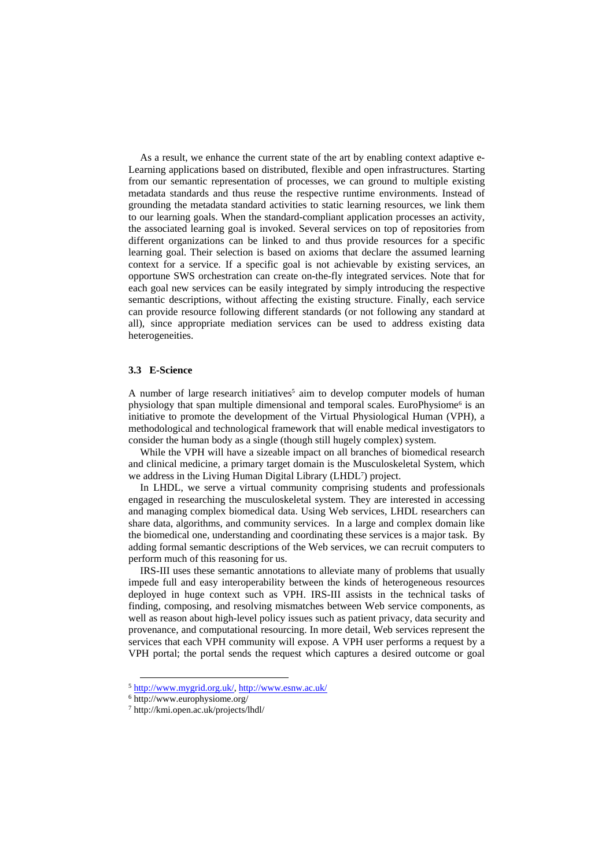As a result, we enhance the current state of the art by enabling context adaptive e-Learning applications based on distributed, flexible and open infrastructures. Starting from our semantic representation of processes, we can ground to multiple existing metadata standards and thus reuse the respective runtime environments. Instead of grounding the metadata standard activities to static learning resources, we link them to our learning goals. When the standard-compliant application processes an activity, the associated learning goal is invoked. Several services on top of repositories from different organizations can be linked to and thus provide resources for a specific learning goal. Their selection is based on axioms that declare the assumed learning context for a service. If a specific goal is not achievable by existing services, an opportune SWS orchestration can create on-the-fly integrated services. Note that for each goal new services can be easily integrated by simply introducing the respective semantic descriptions, without affecting the existing structure. Finally, each service can provide resource following different standards (or not following any standard at all), since appropriate mediation services can be used to address existing data heterogeneities.

#### **3.3 E-Science**

A number of large research initiatives<sup>5</sup> aim to develop computer models of human physiology that span multiple dimensional and temporal scales. EuroPhysiome<sup> $6$ </sup> is an initiative to promote the development of the Virtual Physiological Human (VPH), a methodological and technological framework that will enable medical investigators to consider the human body as a single (though still hugely complex) system.

While the VPH will have a sizeable impact on all branches of biomedical research and clinical medicine, a primary target domain is the Musculoskeletal System, which we address in the Living Human Digital Library (LHDL7) project.

In LHDL, we serve a virtual community comprising students and professionals engaged in researching the musculoskeletal system. They are interested in accessing and managing complex biomedical data. Using Web services, LHDL researchers can share data, algorithms, and community services. In a large and complex domain like the biomedical one, understanding and coordinating these services is a major task. By adding formal semantic descriptions of the Web services, we can recruit computers to perform much of this reasoning for us.

IRS-III uses these semantic annotations to alleviate many of problems that usually impede full and easy interoperability between the kinds of heterogeneous resources deployed in huge context such as VPH. IRS-III assists in the technical tasks of finding, composing, and resolving mismatches between Web service components, as well as reason about high-level policy issues such as patient privacy, data security and provenance, and computational resourcing. In more detail, Web services represent the services that each VPH community will expose. A VPH user performs a request by a VPH portal; the portal sends the request which captures a desired outcome or goal

 $5 \frac{\text{http://www.mygrid.org.uk/}{\text{http://www.eunophysiome.org/}}$ <br>
6 http://www.europhysiome.org/<br>
7 http://kmi.open.ac.uk/projects/lhdl/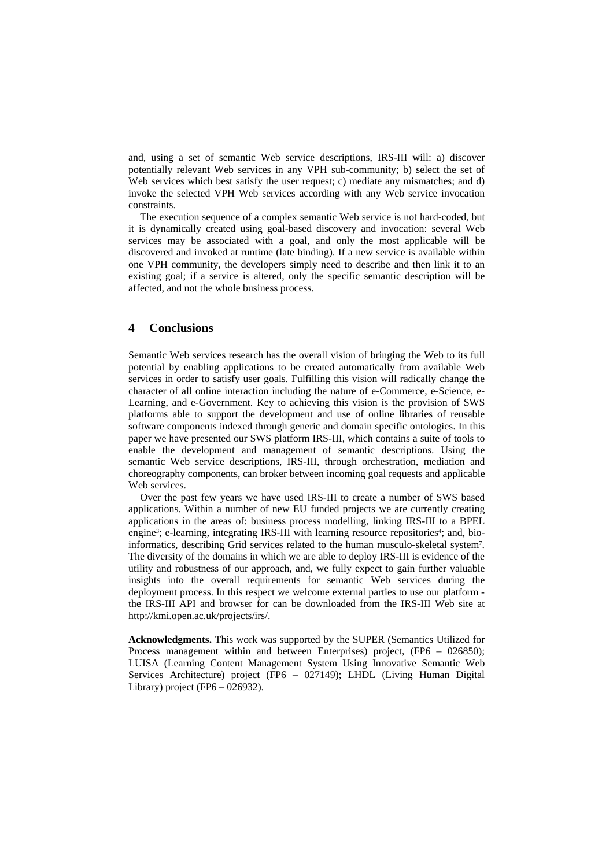and, using a set of semantic Web service descriptions, IRS-III will: a) discover potentially relevant Web services in any VPH sub-community; b) select the set of Web services which best satisfy the user request; c) mediate any mismatches; and d) invoke the selected VPH Web services according with any Web service invocation constraints.

The execution sequence of a complex semantic Web service is not hard-coded, but it is dynamically created using goal-based discovery and invocation: several Web services may be associated with a goal, and only the most applicable will be discovered and invoked at runtime (late binding). If a new service is available within one VPH community, the developers simply need to describe and then link it to an existing goal; if a service is altered, only the specific semantic description will be affected, and not the whole business process.

### **4 Conclusions**

Semantic Web services research has the overall vision of bringing the Web to its full potential by enabling applications to be created automatically from available Web services in order to satisfy user goals. Fulfilling this vision will radically change the character of all online interaction including the nature of e-Commerce, e-Science, e-Learning, and e-Government. Key to achieving this vision is the provision of SWS platforms able to support the development and use of online libraries of reusable software components indexed through generic and domain specific ontologies. In this paper we have presented our SWS platform IRS-III, which contains a suite of tools to enable the development and management of semantic descriptions. Using the semantic Web service descriptions, IRS-III, through orchestration, mediation and choreography components, can broker between incoming goal requests and applicable Web services.

Over the past few years we have used IRS-III to create a number of SWS based applications. Within a number of new EU funded projects we are currently creating applications in the areas of: business process modelling, linking IRS-III to a BPEL engine<sup>3</sup>; e-learning, integrating IRS-III with learning resource repositories<sup>4</sup>; and, bioinformatics, describing Grid services related to the human musculo-skeletal system7. The diversity of the domains in which we are able to deploy IRS-III is evidence of the utility and robustness of our approach, and, we fully expect to gain further valuable insights into the overall requirements for semantic Web services during the deployment process. In this respect we welcome external parties to use our platform the IRS-III API and browser for can be downloaded from the IRS-III Web site at http://kmi.open.ac.uk/projects/irs/.

**Acknowledgments.** This work was supported by the SUPER (Semantics Utilized for Process management within and between Enterprises) project, (FP6 – 026850); LUISA (Learning Content Management System Using Innovative Semantic Web Services Architecture) project (FP6 – 027149); LHDL (Living Human Digital Library) project (FP6 – 026932).